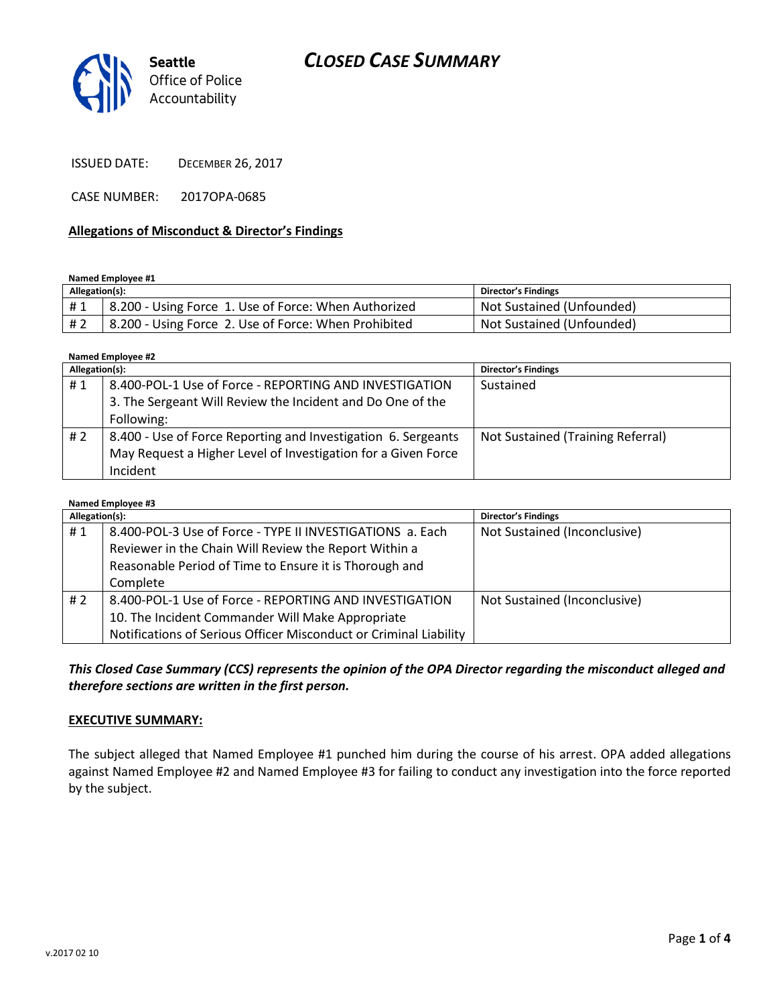# *CLOSED CASE SUMMARY*



ISSUED DATE: DECEMBER 26, 2017

CASE NUMBER: 2017OPA-0685

#### **Allegations of Misconduct & Director's Findings**

**Named Employee #1**

| Allegation(s): |                                                      | Director's Findings       |
|----------------|------------------------------------------------------|---------------------------|
| #1             | 8.200 - Using Force 1. Use of Force: When Authorized | Not Sustained (Unfounded) |
| # 2            | 8.200 - Using Force 2. Use of Force: When Prohibited | Not Sustained (Unfounded) |

**Named Employee #2**

| Allegation(s): |                                                               | <b>Director's Findings</b>        |
|----------------|---------------------------------------------------------------|-----------------------------------|
| #1             | 8.400-POL-1 Use of Force - REPORTING AND INVESTIGATION        | Sustained                         |
|                | 3. The Sergeant Will Review the Incident and Do One of the    |                                   |
|                | Following:                                                    |                                   |
| #2             | 8.400 - Use of Force Reporting and Investigation 6. Sergeants | Not Sustained (Training Referral) |
|                | May Request a Higher Level of Investigation for a Given Force |                                   |
|                | Incident                                                      |                                   |

| Named Employee #3 |                                                                   |                              |  |  |
|-------------------|-------------------------------------------------------------------|------------------------------|--|--|
| Allegation(s):    |                                                                   | <b>Director's Findings</b>   |  |  |
| #1                | 8.400-POL-3 Use of Force - TYPE II INVESTIGATIONS a. Each         | Not Sustained (Inconclusive) |  |  |
|                   | Reviewer in the Chain Will Review the Report Within a             |                              |  |  |
|                   | Reasonable Period of Time to Ensure it is Thorough and            |                              |  |  |
|                   | Complete                                                          |                              |  |  |
| #2                | 8.400-POL-1 Use of Force - REPORTING AND INVESTIGATION            | Not Sustained (Inconclusive) |  |  |
|                   | 10. The Incident Commander Will Make Appropriate                  |                              |  |  |
|                   | Notifications of Serious Officer Misconduct or Criminal Liability |                              |  |  |

*This Closed Case Summary (CCS) represents the opinion of the OPA Director regarding the misconduct alleged and therefore sections are written in the first person.* 

#### **EXECUTIVE SUMMARY:**

The subject alleged that Named Employee #1 punched him during the course of his arrest. OPA added allegations against Named Employee #2 and Named Employee #3 for failing to conduct any investigation into the force reported by the subject.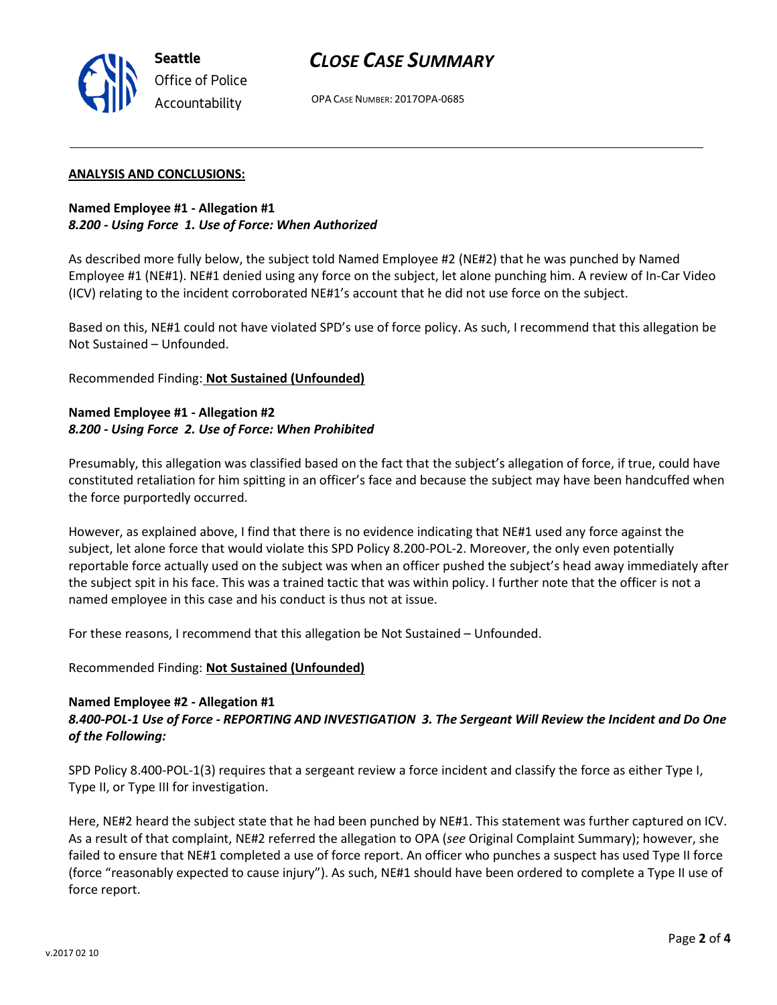# *CLOSE CASE SUMMARY*



OPA CASE NUMBER: 2017OPA-0685

### **ANALYSIS AND CONCLUSIONS:**

## **Named Employee #1 - Allegation #1** *8.200 - Using Force 1. Use of Force: When Authorized*

As described more fully below, the subject told Named Employee #2 (NE#2) that he was punched by Named Employee #1 (NE#1). NE#1 denied using any force on the subject, let alone punching him. A review of In-Car Video (ICV) relating to the incident corroborated NE#1's account that he did not use force on the subject.

Based on this, NE#1 could not have violated SPD's use of force policy. As such, I recommend that this allegation be Not Sustained – Unfounded.

Recommended Finding: **Not Sustained (Unfounded)**

## **Named Employee #1 - Allegation #2** *8.200 - Using Force 2. Use of Force: When Prohibited*

Presumably, this allegation was classified based on the fact that the subject's allegation of force, if true, could have constituted retaliation for him spitting in an officer's face and because the subject may have been handcuffed when the force purportedly occurred.

However, as explained above, I find that there is no evidence indicating that NE#1 used any force against the subject, let alone force that would violate this SPD Policy 8.200-POL-2. Moreover, the only even potentially reportable force actually used on the subject was when an officer pushed the subject's head away immediately after the subject spit in his face. This was a trained tactic that was within policy. I further note that the officer is not a named employee in this case and his conduct is thus not at issue.

For these reasons, I recommend that this allegation be Not Sustained – Unfounded.

Recommended Finding: **Not Sustained (Unfounded)**

### **Named Employee #2 - Allegation #1**

## *8.400-POL-1 Use of Force - REPORTING AND INVESTIGATION 3. The Sergeant Will Review the Incident and Do One of the Following:*

SPD Policy 8.400-POL-1(3) requires that a sergeant review a force incident and classify the force as either Type I, Type II, or Type III for investigation.

Here, NE#2 heard the subject state that he had been punched by NE#1. This statement was further captured on ICV. As a result of that complaint, NE#2 referred the allegation to OPA (*see* Original Complaint Summary); however, she failed to ensure that NE#1 completed a use of force report. An officer who punches a suspect has used Type II force (force "reasonably expected to cause injury"). As such, NE#1 should have been ordered to complete a Type II use of force report.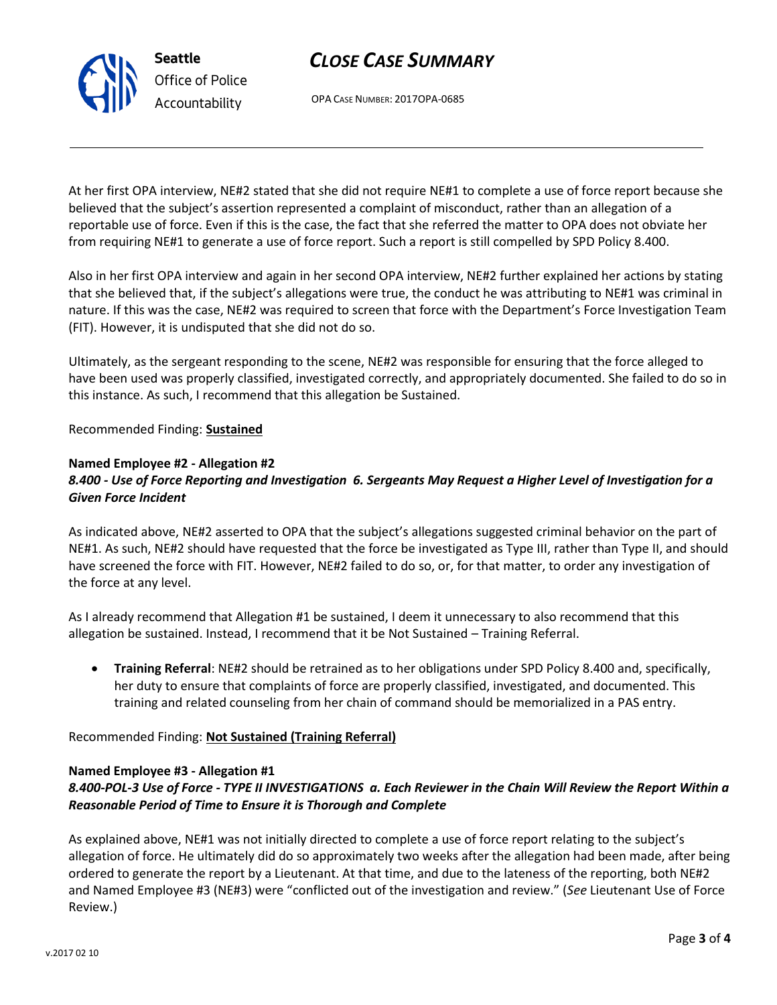# *CLOSE CASE SUMMARY*

OPA CASE NUMBER: 2017OPA-0685

At her first OPA interview, NE#2 stated that she did not require NE#1 to complete a use of force report because she believed that the subject's assertion represented a complaint of misconduct, rather than an allegation of a reportable use of force. Even if this is the case, the fact that she referred the matter to OPA does not obviate her from requiring NE#1 to generate a use of force report. Such a report is still compelled by SPD Policy 8.400.

Also in her first OPA interview and again in her second OPA interview, NE#2 further explained her actions by stating that she believed that, if the subject's allegations were true, the conduct he was attributing to NE#1 was criminal in nature. If this was the case, NE#2 was required to screen that force with the Department's Force Investigation Team (FIT). However, it is undisputed that she did not do so.

Ultimately, as the sergeant responding to the scene, NE#2 was responsible for ensuring that the force alleged to have been used was properly classified, investigated correctly, and appropriately documented. She failed to do so in this instance. As such, I recommend that this allegation be Sustained.

## Recommended Finding: **Sustained**

## **Named Employee #2 - Allegation #2**

## *8.400 - Use of Force Reporting and Investigation 6. Sergeants May Request a Higher Level of Investigation for a Given Force Incident*

As indicated above, NE#2 asserted to OPA that the subject's allegations suggested criminal behavior on the part of NE#1. As such, NE#2 should have requested that the force be investigated as Type III, rather than Type II, and should have screened the force with FIT. However, NE#2 failed to do so, or, for that matter, to order any investigation of the force at any level.

As I already recommend that Allegation #1 be sustained, I deem it unnecessary to also recommend that this allegation be sustained. Instead, I recommend that it be Not Sustained – Training Referral.

 **Training Referral**: NE#2 should be retrained as to her obligations under SPD Policy 8.400 and, specifically, her duty to ensure that complaints of force are properly classified, investigated, and documented. This training and related counseling from her chain of command should be memorialized in a PAS entry.

### Recommended Finding: **Not Sustained (Training Referral)**

### **Named Employee #3 - Allegation #1**

## *8.400-POL-3 Use of Force - TYPE II INVESTIGATIONS a. Each Reviewer in the Chain Will Review the Report Within a Reasonable Period of Time to Ensure it is Thorough and Complete*

As explained above, NE#1 was not initially directed to complete a use of force report relating to the subject's allegation of force. He ultimately did do so approximately two weeks after the allegation had been made, after being ordered to generate the report by a Lieutenant. At that time, and due to the lateness of the reporting, both NE#2 and Named Employee #3 (NE#3) were "conflicted out of the investigation and review." (*See* Lieutenant Use of Force Review.)



**Seattle** *Office of Police Accountability*